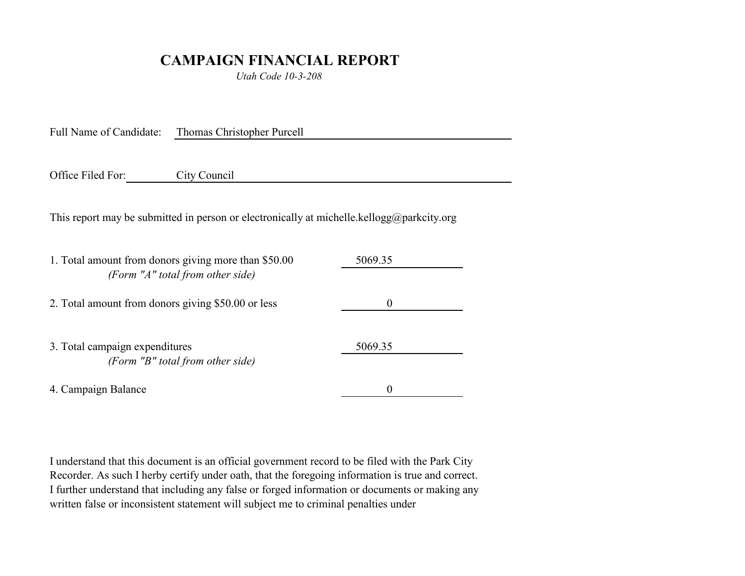## **CAMPAIGN FINANCIAL REPORT**

*Utah Code 10-3-208*

Full Name of Candidate: Thomas Christopher Purcell

Office Filed For: City Council

This report may be submitted in person or electronically at michelle.kellogg@parkcity.org

| 1. Total amount from donors giving more than \$50.00 | 5069.35  |  |
|------------------------------------------------------|----------|--|
| (Form "A" total from other side)                     |          |  |
| 2. Total amount from donors giving \$50.00 or less   | $\theta$ |  |
|                                                      |          |  |
| 3. Total campaign expenditures                       | 5069.35  |  |
| (Form "B" total from other side)                     |          |  |
| 4. Campaign Balance                                  | $\theta$ |  |

I understand that this document is an official government record to be filed with the Park City Recorder. As such I herby certify under oath, that the foregoing information is true and correct. I further understand that including any false or forged information or documents or making any written false or inconsistent statement will subject me to criminal penalties under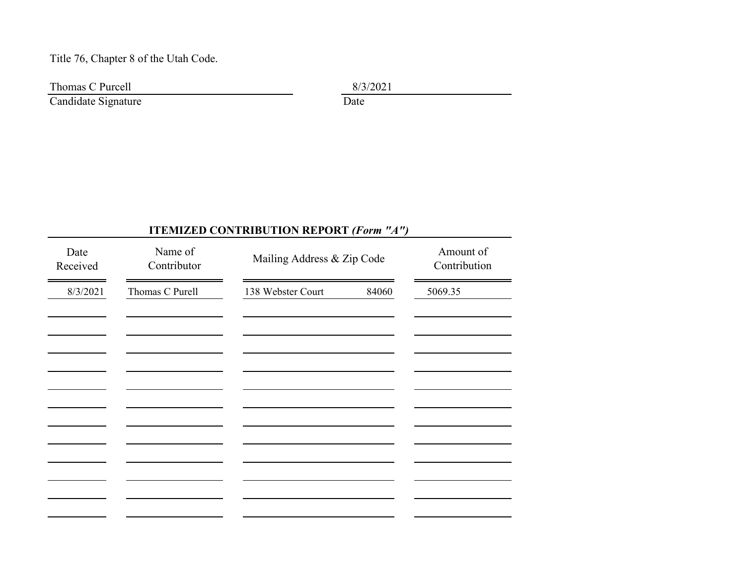## Title 76, Chapter 8 of the Utah Code.

Thomas C Purcell  $8/3/2021$ 

Candidate Signature **Date** Date

## **ITEMIZED CONTRIBUTION REPORT** *(Form "A")*

| Date<br>Received | Name of<br>Contributor | Mailing Address & Zip Code | Amount of<br>Contribution |
|------------------|------------------------|----------------------------|---------------------------|
| 8/3/2021         | Thomas C Purell        | 138 Webster Court<br>84060 | 5069.35                   |
|                  |                        |                            |                           |
|                  |                        |                            |                           |
|                  |                        |                            |                           |
|                  |                        |                            |                           |
|                  |                        |                            |                           |
|                  |                        |                            |                           |
|                  |                        |                            |                           |
|                  |                        |                            |                           |
|                  |                        |                            |                           |